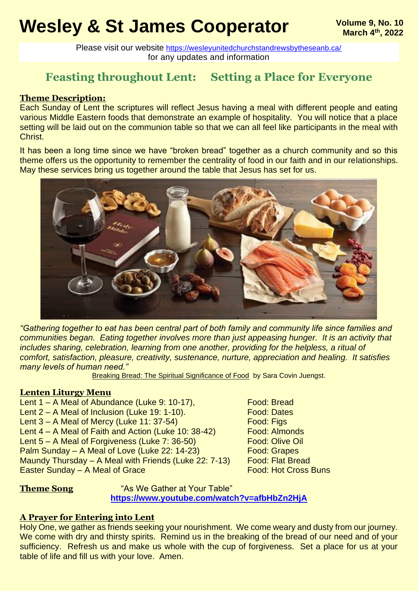# **Wesley & St James Cooperator Wesley & St James** Cooperator **Welling 9, No. 10**

Please visit our website <https://wesleyunitedchurchstandrewsbytheseanb.ca/> for any updates and information

## **Feasting throughout Lent: Setting a Place for Everyone**

#### **Theme Description:**

Each Sunday of Lent the scriptures will reflect Jesus having a meal with different people and eating various Middle Eastern foods that demonstrate an example of hospitality. You will notice that a place setting will be laid out on the communion table so that we can all feel like participants in the meal with Christ.

It has been a long time since we have "broken bread" together as a church community and so this theme offers us the opportunity to remember the centrality of food in our faith and in our relationships. May these services bring us together around the table that Jesus has set for us.



*"Gathering together to eat has been central part of both family and community life since families and communities began. Eating together involves more than just appeasing hunger. It is an activity that includes sharing, celebration, learning from one another, providing for the helpless, a ritual of comfort, satisfaction, pleasure, creativity, sustenance, nurture, appreciation and healing. It satisfies many levels of human need."* 

Breaking Bread: The Spiritual Significance of Food by Sara Covin Juengst.

#### **Lenten Liturgy Menu**

Lent 1 – A Meal of Abundance (Luke 9: 10-17), Food: Bread Lent 2 – A Meal of Inclusion (Luke 19: 1-10). Food: Dates Lent  $3 - A$  Meal of Mercy (Luke 11: 37-54)<br>
Lent  $4 - A$  Meal of Faith and Action (Luke 10: 38-42) Food: Almonds Lent  $4 - A$  Meal of Faith and Action (Luke 10: 38-42) Lent 5 – A Meal of Forgiveness (Luke 7: 36-50) Food: Olive Oil Palm Sunday – A Meal of Love (Luke 22: 14-23) Food: Grapes Maundy Thursday - A Meal with Friends (Luke 22: 7-13) Food: Flat Bread Easter Sunday – A Meal of Grace Food: Hot Cross Buns

**Theme Song Theme Song Theme Song Table**" As We Gather at Your Table" **<https://www.youtube.com/watch?v=afbHbZn2HjA>**

### **A Prayer for Entering into Lent**

Holy One, we gather as friends seeking your nourishment. We come weary and dusty from our journey. We come with dry and thirsty spirits. Remind us in the breaking of the bread of our need and of your sufficiency. Refresh us and make us whole with the cup of forgiveness. Set a place for us at your table of life and fill us with your love. Amen.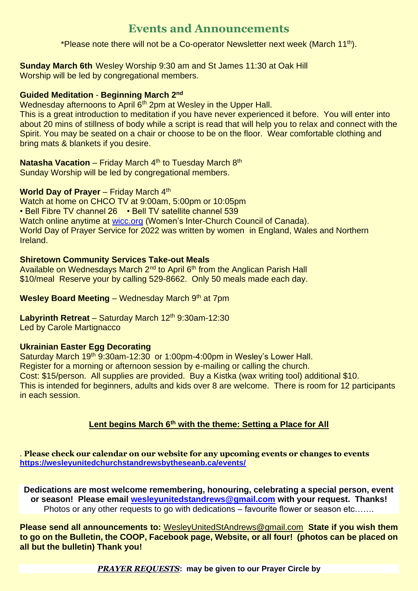## **Events and Announcements**

\*Please note there will not be a Co-operator Newsletter next week (March 11<sup>th</sup>).

**Sunday March 6th** Wesley Worship 9:30 am and St James 11:30 at Oak Hill Worship will be led by congregational members.

#### **Guided Meditation** - **Beginning March 2nd**

Wednesday afternoons to April 6<sup>th</sup> 2pm at Wesley in the Upper Hall.

This is a great introduction to meditation if you have never experienced it before. You will enter into about 20 mins of stillness of body while a script is read that will help you to relax and connect with the Spirit. You may be seated on a chair or choose to be on the floor. Wear comfortable clothing and bring mats & blankets if you desire.

**Natasha Vacation** – Friday March 4<sup>th</sup> to Tuesday March 8<sup>th</sup> Sunday Worship will be led by congregational members.

#### **World Day of Prayer** – Friday March 4th

Watch at home on CHCO TV at 9:00am, 5:00pm or 10:05pm • Bell Fibre TV channel 26 • Bell TV satellite channel 539 Watch online anytime at [wicc.org](https://webmail.bellaliant.net/bell/wicc.org) (Women's Inter-Church Council of Canada). World Day of Prayer Service for 2022 was written by women in England, Wales and Northern Ireland.

#### **Shiretown Community Services Take-out Meals**

Available on Wednesdays March 2<sup>nd</sup> to April 6<sup>th</sup> from the Anglican Parish Hall \$10/meal Reserve your by calling 529-8662. Only 50 meals made each day.

**Wesley Board Meeting** – Wednesday March 9th at 7pm

#### **Labyrinth Retreat** – Saturday March 12<sup>th</sup> 9:30am-12:30 Led by Carole Martignacco

#### **Ukrainian Easter Egg Decorating**

Saturday March 19<sup>th</sup> 9:30am-12:30 or 1:00pm-4:00pm in Wesley's Lower Hall. Register for a morning or afternoon session by e-mailing or calling the church. Cost: \$15/person. All supplies are provided. Buy a Kistka (wax writing tool) additional \$10. This is intended for beginners, adults and kids over 8 are welcome. There is room for 12 participants in each session.

#### **Lent begins March 6th with the theme: Setting a Place for All**

. **Please check our calendar on our website for any upcoming events or changes to events <https://wesleyunitedchurchstandrewsbytheseanb.ca/events/>**

**Dedications are most welcome remembering, honouring, celebrating a special person, event or season! Please email [wesleyunitedstandrews@gmail.com](mailto:wesleyunitedstandrews@gmail.com) with your request. Thanks!** Photos or any other requests to go with dedications – favourite flower or season etc…….

**Please send all announcements to:** [WesleyUnitedStAndrews@gmail.com](mailto:WesleyUnitedStAndrews@gmail.com) **State if you wish them to go on the Bulletin, the COOP, Facebook page, Website, or all four! (photos can be placed on all but the bulletin) Thank you!**